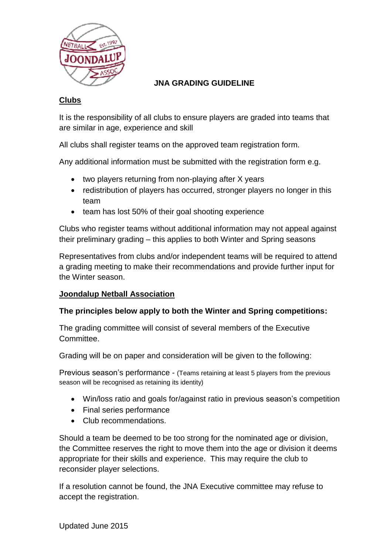

# **JNA GRADING GUIDELINE**

## **Clubs**

It is the responsibility of all clubs to ensure players are graded into teams that are similar in age, experience and skill

All clubs shall register teams on the approved team registration form.

Any additional information must be submitted with the registration form e.g.

- two players returning from non-playing after X years
- redistribution of players has occurred, stronger players no longer in this team
- team has lost 50% of their goal shooting experience

Clubs who register teams without additional information may not appeal against their preliminary grading – this applies to both Winter and Spring seasons

Representatives from clubs and/or independent teams will be required to attend a grading meeting to make their recommendations and provide further input for the Winter season.

# **Joondalup Netball Association**

### **The principles below apply to both the Winter and Spring competitions:**

The grading committee will consist of several members of the Executive Committee.

Grading will be on paper and consideration will be given to the following:

Previous season's performance - (Teams retaining at least 5 players from the previous season will be recognised as retaining its identity)

- Win/loss ratio and goals for/against ratio in previous season's competition
- Final series performance
- Club recommendations.

Should a team be deemed to be too strong for the nominated age or division, the Committee reserves the right to move them into the age or division it deems appropriate for their skills and experience. This may require the club to reconsider player selections.

If a resolution cannot be found, the JNA Executive committee may refuse to accept the registration.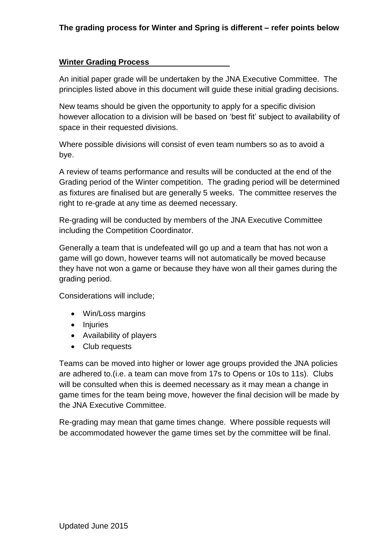#### **Winter Grading Process**

An initial paper grade will be undertaken by the JNA Executive Committee. The principles listed above in this document will guide these initial grading decisions.

New teams should be given the opportunity to apply for a specific division however allocation to a division will be based on 'best fit' subject to availability of space in their requested divisions.

Where possible divisions will consist of even team numbers so as to avoid a bye.

A review of teams performance and results will be conducted at the end of the Grading period of the Winter competition. The grading period will be determined as fixtures are finalised but are generally 5 weeks. The committee reserves the right to re-grade at any time as deemed necessary.

Re-grading will be conducted by members of the JNA Executive Committee including the Competition Coordinator.

Generally a team that is undefeated will go up and a team that has not won a game will go down, however teams will not automatically be moved because they have not won a game or because they have won all their games during the grading period.

Considerations will include;

- Win/Loss margins
- Injuries
- Availability of players
- Club requests

Teams can be moved into higher or lower age groups provided the JNA policies are adhered to.(i.e. a team can move from 17s to Opens or 10s to 11s). Clubs will be consulted when this is deemed necessary as it may mean a change in game times for the team being move, however the final decision will be made by the JNA Executive Committee.

Re-grading may mean that game times change. Where possible requests will be accommodated however the game times set by the committee will be final.